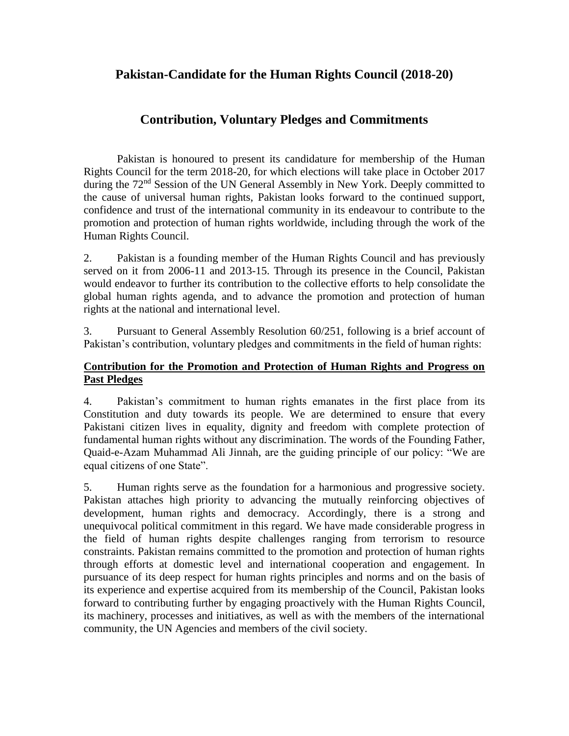# **Pakistan-Candidate for the Human Rights Council (2018-20)**

# **Contribution, Voluntary Pledges and Commitments**

Pakistan is honoured to present its candidature for membership of the Human Rights Council for the term 2018-20, for which elections will take place in October 2017 during the 72<sup>nd</sup> Session of the UN General Assembly in New York. Deeply committed to the cause of universal human rights, Pakistan looks forward to the continued support, confidence and trust of the international community in its endeavour to contribute to the promotion and protection of human rights worldwide, including through the work of the Human Rights Council.

2. Pakistan is a founding member of the Human Rights Council and has previously served on it from 2006-11 and 2013-15. Through its presence in the Council, Pakistan would endeavor to further its contribution to the collective efforts to help consolidate the global human rights agenda, and to advance the promotion and protection of human rights at the national and international level.

3. Pursuant to General Assembly Resolution 60/251, following is a brief account of Pakistan's contribution, voluntary pledges and commitments in the field of human rights:

#### **Contribution for the Promotion and Protection of Human Rights and Progress on Past Pledges**

4. Pakistan's commitment to human rights emanates in the first place from its Constitution and duty towards its people. We are determined to ensure that every Pakistani citizen lives in equality, dignity and freedom with complete protection of fundamental human rights without any discrimination. The words of the Founding Father, Quaid-e-Azam Muhammad Ali Jinnah, are the guiding principle of our policy: "We are equal citizens of one State".

5. Human rights serve as the foundation for a harmonious and progressive society. Pakistan attaches high priority to advancing the mutually reinforcing objectives of development, human rights and democracy. Accordingly, there is a strong and unequivocal political commitment in this regard. We have made considerable progress in the field of human rights despite challenges ranging from terrorism to resource constraints. Pakistan remains committed to the promotion and protection of human rights through efforts at domestic level and international cooperation and engagement. In pursuance of its deep respect for human rights principles and norms and on the basis of its experience and expertise acquired from its membership of the Council, Pakistan looks forward to contributing further by engaging proactively with the Human Rights Council, its machinery, processes and initiatives, as well as with the members of the international community, the UN Agencies and members of the civil society.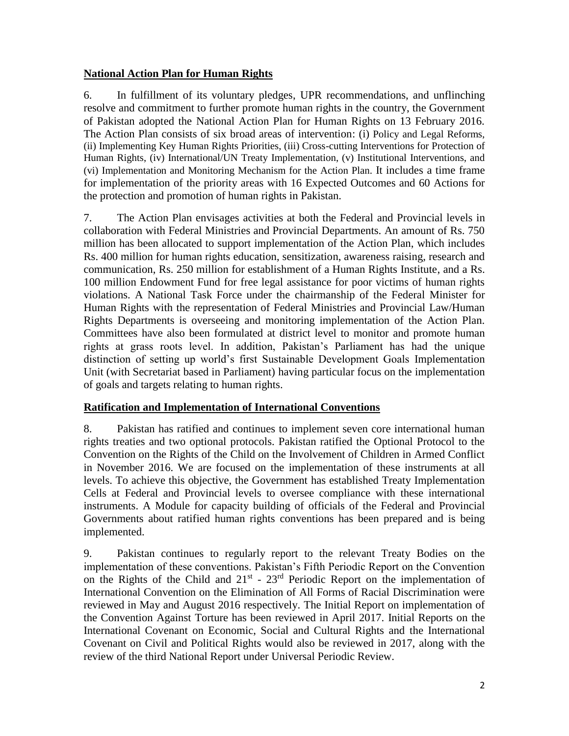# **National Action Plan for Human Rights**

6. In fulfillment of its voluntary pledges, UPR recommendations, and unflinching resolve and commitment to further promote human rights in the country, the Government of Pakistan adopted the National Action Plan for Human Rights on 13 February 2016. The Action Plan consists of six broad areas of intervention: (i) Policy and Legal Reforms, (ii) Implementing Key Human Rights Priorities, (iii) Cross-cutting Interventions for Protection of Human Rights, (iv) International/UN Treaty Implementation, (v) Institutional Interventions, and (vi) Implementation and Monitoring Mechanism for the Action Plan. It includes a time frame for implementation of the priority areas with 16 Expected Outcomes and 60 Actions for the protection and promotion of human rights in Pakistan.

7. The Action Plan envisages activities at both the Federal and Provincial levels in collaboration with Federal Ministries and Provincial Departments. An amount of Rs. 750 million has been allocated to support implementation of the Action Plan, which includes Rs. 400 million for human rights education, sensitization, awareness raising, research and communication, Rs. 250 million for establishment of a Human Rights Institute, and a Rs. 100 million Endowment Fund for free legal assistance for poor victims of human rights violations. A National Task Force under the chairmanship of the Federal Minister for Human Rights with the representation of Federal Ministries and Provincial Law/Human Rights Departments is overseeing and monitoring implementation of the Action Plan. Committees have also been formulated at district level to monitor and promote human rights at grass roots level. In addition, Pakistan's Parliament has had the unique distinction of setting up world's first Sustainable Development Goals Implementation Unit (with Secretariat based in Parliament) having particular focus on the implementation of goals and targets relating to human rights.

## **Ratification and Implementation of International Conventions**

8. Pakistan has ratified and continues to implement seven core international human rights treaties and two optional protocols. Pakistan ratified the Optional Protocol to the Convention on the Rights of the Child on the Involvement of Children in Armed Conflict in November 2016. We are focused on the implementation of these instruments at all levels. To achieve this objective, the Government has established Treaty Implementation Cells at Federal and Provincial levels to oversee compliance with these international instruments. A Module for capacity building of officials of the Federal and Provincial Governments about ratified human rights conventions has been prepared and is being implemented.

9. Pakistan continues to regularly report to the relevant Treaty Bodies on the implementation of these conventions. Pakistan's Fifth Periodic Report on the Convention on the Rights of the Child and  $21^{st}$  -  $23^{rd}$  Periodic Report on the implementation of International Convention on the Elimination of All Forms of Racial Discrimination were reviewed in May and August 2016 respectively. The Initial Report on implementation of the Convention Against Torture has been reviewed in April 2017. Initial Reports on the International Covenant on Economic, Social and Cultural Rights and the International Covenant on Civil and Political Rights would also be reviewed in 2017, along with the review of the third National Report under Universal Periodic Review.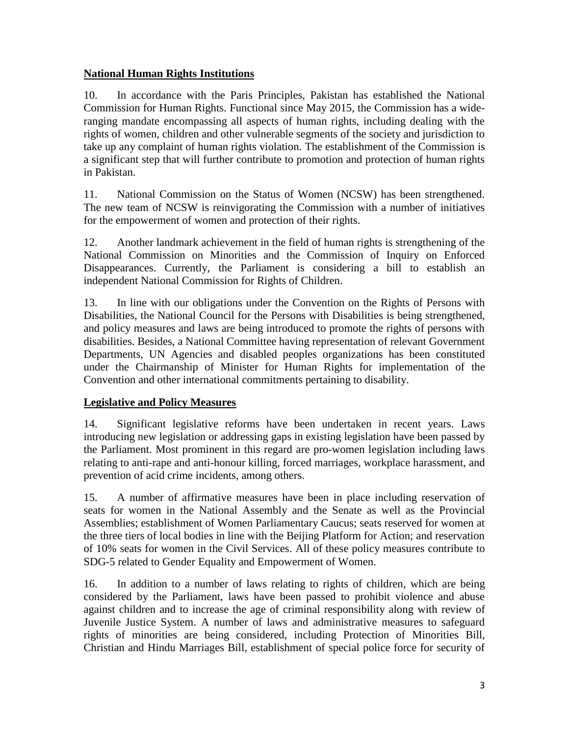# **National Human Rights Institutions**

10. In accordance with the Paris Principles, Pakistan has established the National Commission for Human Rights. Functional since May 2015, the Commission has a wideranging mandate encompassing all aspects of human rights, including dealing with the rights of women, children and other vulnerable segments of the society and jurisdiction to take up any complaint of human rights violation. The establishment of the Commission is a significant step that will further contribute to promotion and protection of human rights in Pakistan.

11. National Commission on the Status of Women (NCSW) has been strengthened. The new team of NCSW is reinvigorating the Commission with a number of initiatives for the empowerment of women and protection of their rights.

12. Another landmark achievement in the field of human rights is strengthening of the National Commission on Minorities and the Commission of Inquiry on Enforced Disappearances. Currently, the Parliament is considering a bill to establish an independent National Commission for Rights of Children.

13. In line with our obligations under the Convention on the Rights of Persons with Disabilities, the National Council for the Persons with Disabilities is being strengthened, and policy measures and laws are being introduced to promote the rights of persons with disabilities. Besides, a National Committee having representation of relevant Government Departments, UN Agencies and disabled peoples organizations has been constituted under the Chairmanship of Minister for Human Rights for implementation of the Convention and other international commitments pertaining to disability.

# **Legislative and Policy Measures**

14. Significant legislative reforms have been undertaken in recent years. Laws introducing new legislation or addressing gaps in existing legislation have been passed by the Parliament. Most prominent in this regard are pro-women legislation including laws relating to anti-rape and anti-honour killing, forced marriages, workplace harassment, and prevention of acid crime incidents, among others.

15. A number of affirmative measures have been in place including reservation of seats for women in the National Assembly and the Senate as well as the Provincial Assemblies; establishment of Women Parliamentary Caucus; seats reserved for women at the three tiers of local bodies in line with the Beijing Platform for Action; and reservation of 10% seats for women in the Civil Services. All of these policy measures contribute to SDG-5 related to Gender Equality and Empowerment of Women.

16. In addition to a number of laws relating to rights of children, which are being considered by the Parliament, laws have been passed to prohibit violence and abuse against children and to increase the age of criminal responsibility along with review of Juvenile Justice System. A number of laws and administrative measures to safeguard rights of minorities are being considered, including Protection of Minorities Bill, Christian and Hindu Marriages Bill, establishment of special police force for security of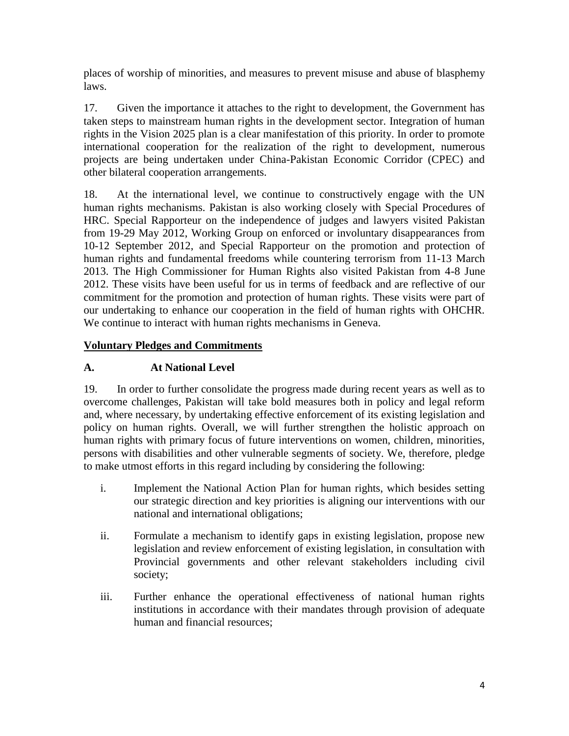places of worship of minorities, and measures to prevent misuse and abuse of blasphemy laws.

17. Given the importance it attaches to the right to development, the Government has taken steps to mainstream human rights in the development sector. Integration of human rights in the Vision 2025 plan is a clear manifestation of this priority. In order to promote international cooperation for the realization of the right to development, numerous projects are being undertaken under China-Pakistan Economic Corridor (CPEC) and other bilateral cooperation arrangements.

18. At the international level, we continue to constructively engage with the UN human rights mechanisms. Pakistan is also working closely with Special Procedures of HRC. Special Rapporteur on the independence of judges and lawyers visited Pakistan from 19-29 May 2012, Working Group on enforced or involuntary disappearances from 10-12 September 2012, and Special Rapporteur on the promotion and protection of human rights and fundamental freedoms while countering terrorism from 11-13 March 2013. The High Commissioner for Human Rights also visited Pakistan from 4-8 June 2012. These visits have been useful for us in terms of feedback and are reflective of our commitment for the promotion and protection of human rights. These visits were part of our undertaking to enhance our cooperation in the field of human rights with OHCHR. We continue to interact with human rights mechanisms in Geneva.

## **Voluntary Pledges and Commitments**

# **A. At National Level**

19. In order to further consolidate the progress made during recent years as well as to overcome challenges, Pakistan will take bold measures both in policy and legal reform and, where necessary, by undertaking effective enforcement of its existing legislation and policy on human rights. Overall, we will further strengthen the holistic approach on human rights with primary focus of future interventions on women, children, minorities, persons with disabilities and other vulnerable segments of society. We, therefore, pledge to make utmost efforts in this regard including by considering the following:

- i. Implement the National Action Plan for human rights, which besides setting our strategic direction and key priorities is aligning our interventions with our national and international obligations;
- ii. Formulate a mechanism to identify gaps in existing legislation, propose new legislation and review enforcement of existing legislation, in consultation with Provincial governments and other relevant stakeholders including civil society;
- iii. Further enhance the operational effectiveness of national human rights institutions in accordance with their mandates through provision of adequate human and financial resources;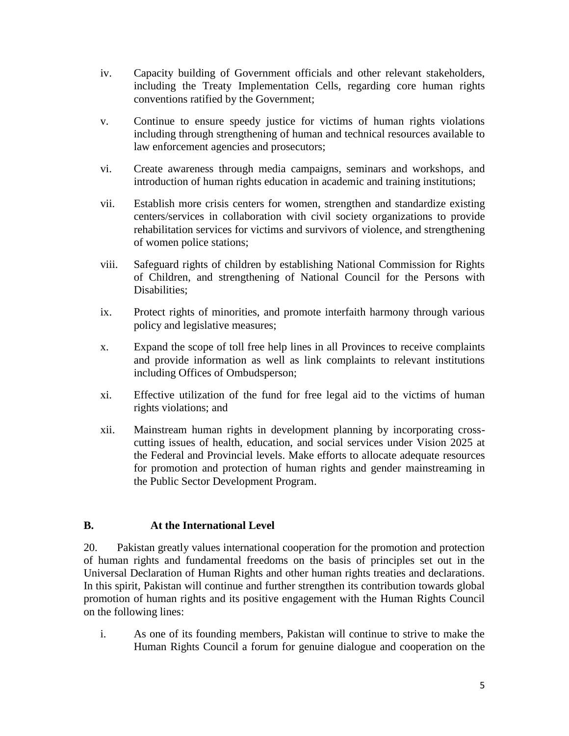- iv. Capacity building of Government officials and other relevant stakeholders, including the Treaty Implementation Cells, regarding core human rights conventions ratified by the Government;
- v. Continue to ensure speedy justice for victims of human rights violations including through strengthening of human and technical resources available to law enforcement agencies and prosecutors;
- vi. Create awareness through media campaigns, seminars and workshops, and introduction of human rights education in academic and training institutions;
- vii. Establish more crisis centers for women, strengthen and standardize existing centers/services in collaboration with civil society organizations to provide rehabilitation services for victims and survivors of violence, and strengthening of women police stations;
- viii. Safeguard rights of children by establishing National Commission for Rights of Children, and strengthening of National Council for the Persons with Disabilities;
- ix. Protect rights of minorities, and promote interfaith harmony through various policy and legislative measures;
- x. Expand the scope of toll free help lines in all Provinces to receive complaints and provide information as well as link complaints to relevant institutions including Offices of Ombudsperson;
- xi. Effective utilization of the fund for free legal aid to the victims of human rights violations; and
- xii. Mainstream human rights in development planning by incorporating crosscutting issues of health, education, and social services under Vision 2025 at the Federal and Provincial levels. Make efforts to allocate adequate resources for promotion and protection of human rights and gender mainstreaming in the Public Sector Development Program.

## **B. At the International Level**

20. Pakistan greatly values international cooperation for the promotion and protection of human rights and fundamental freedoms on the basis of principles set out in the Universal Declaration of Human Rights and other human rights treaties and declarations. In this spirit, Pakistan will continue and further strengthen its contribution towards global promotion of human rights and its positive engagement with the Human Rights Council on the following lines:

i. As one of its founding members, Pakistan will continue to strive to make the Human Rights Council a forum for genuine dialogue and cooperation on the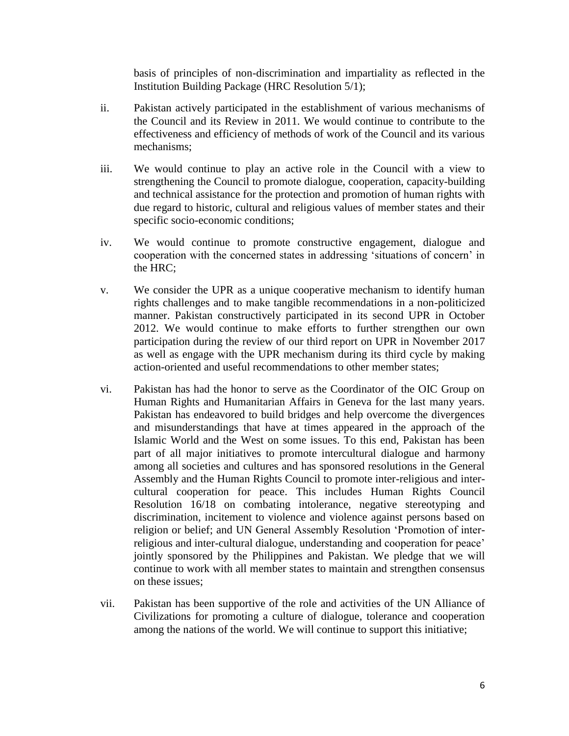basis of principles of non-discrimination and impartiality as reflected in the Institution Building Package (HRC Resolution 5/1);

- ii. Pakistan actively participated in the establishment of various mechanisms of the Council and its Review in 2011. We would continue to contribute to the effectiveness and efficiency of methods of work of the Council and its various mechanisms;
- iii. We would continue to play an active role in the Council with a view to strengthening the Council to promote dialogue, cooperation, capacity-building and technical assistance for the protection and promotion of human rights with due regard to historic, cultural and religious values of member states and their specific socio-economic conditions;
- iv. We would continue to promote constructive engagement, dialogue and cooperation with the concerned states in addressing 'situations of concern' in the HRC;
- v. We consider the UPR as a unique cooperative mechanism to identify human rights challenges and to make tangible recommendations in a non-politicized manner. Pakistan constructively participated in its second UPR in October 2012. We would continue to make efforts to further strengthen our own participation during the review of our third report on UPR in November 2017 as well as engage with the UPR mechanism during its third cycle by making action-oriented and useful recommendations to other member states;
- vi. Pakistan has had the honor to serve as the Coordinator of the OIC Group on Human Rights and Humanitarian Affairs in Geneva for the last many years. Pakistan has endeavored to build bridges and help overcome the divergences and misunderstandings that have at times appeared in the approach of the Islamic World and the West on some issues. To this end, Pakistan has been part of all major initiatives to promote intercultural dialogue and harmony among all societies and cultures and has sponsored resolutions in the General Assembly and the Human Rights Council to promote inter-religious and intercultural cooperation for peace. This includes Human Rights Council Resolution 16/18 on combating intolerance, negative stereotyping and discrimination, incitement to violence and violence against persons based on religion or belief; and UN General Assembly Resolution 'Promotion of interreligious and inter-cultural dialogue, understanding and cooperation for peace' jointly sponsored by the Philippines and Pakistan. We pledge that we will continue to work with all member states to maintain and strengthen consensus on these issues;
- vii. Pakistan has been supportive of the role and activities of the UN Alliance of Civilizations for promoting a culture of dialogue, tolerance and cooperation among the nations of the world. We will continue to support this initiative;